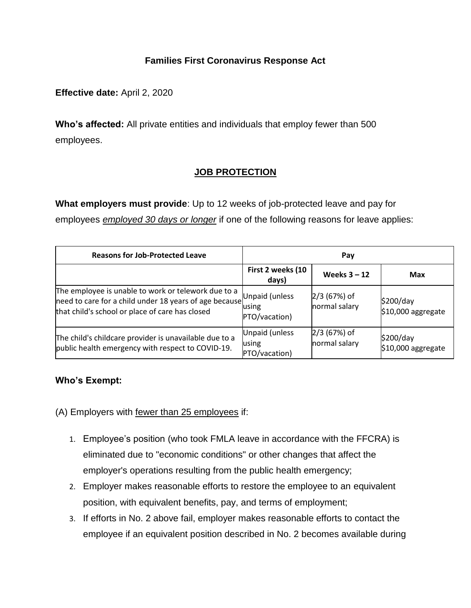## **Families First Coronavirus Response Act**

**Effective date:** April 2, 2020

**Who's affected:** All private entities and individuals that employ fewer than 500 employees.

# **JOB PROTECTION**

**What employers must provide**: Up to 12 weeks of job-protected leave and pay for

employees *employed 30 days or longer* if one of the following reasons for leave applies:

| <b>Reasons for Job-Protected Leave</b>                                                                                                                           | Pay                                      |                                 |                                 |
|------------------------------------------------------------------------------------------------------------------------------------------------------------------|------------------------------------------|---------------------------------|---------------------------------|
|                                                                                                                                                                  | First 2 weeks (10<br>days)               | Weeks $3 - 12$                  | Max                             |
| The employee is unable to work or telework due to a<br>need to care for a child under 18 years of age because<br>that child's school or place of care has closed | Unpaid (unless<br>using<br>PTO/vacation) | $2/3$ (67%) of<br>normal salary | \$200/day<br>\$10,000 aggregate |
| The child's childcare provider is unavailable due to a<br>public health emergency with respect to COVID-19.                                                      | Unpaid (unless<br>using<br>PTO/vacation) | $2/3$ (67%) of<br>normal salary | \$200/day<br>\$10,000 aggregate |

## **Who's Exempt:**

(A) Employers with fewer than 25 employees if:

- 1. Employee's position (who took FMLA leave in accordance with the FFCRA) is eliminated due to "economic conditions" or other changes that affect the employer's operations resulting from the public health emergency;
- 2. Employer makes reasonable efforts to restore the employee to an equivalent position, with equivalent benefits, pay, and terms of employment;
- 3. If efforts in No. 2 above fail, employer makes reasonable efforts to contact the employee if an equivalent position described in No. 2 becomes available during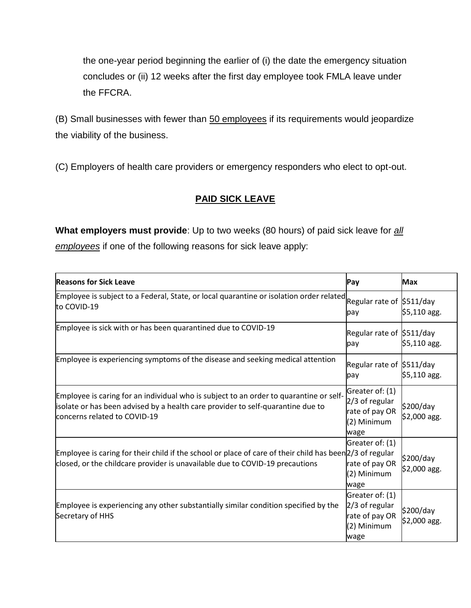the one-year period beginning the earlier of (i) the date the emergency situation concludes or (ii) 12 weeks after the first day employee took FMLA leave under the FFCRA.

(B) Small businesses with fewer than 50 employees if its requirements would jeopardize the viability of the business.

(C) Employers of health care providers or emergency responders who elect to opt-out.

## **PAID SICK LEAVE**

**What employers must provide**: Up to two weeks (80 hours) of paid sick leave for *all employees* if one of the following reasons for sick leave apply:

| <b>Reasons for Sick Leave</b>                                                                                                                                                                             | Pay                                                                        | <b>Max</b>                 |
|-----------------------------------------------------------------------------------------------------------------------------------------------------------------------------------------------------------|----------------------------------------------------------------------------|----------------------------|
| Employee is subject to a Federal, State, or local quarantine or isolation order related Regular rate of S511/day<br>to COVID-19                                                                           | pay                                                                        | \$5,110 agg.               |
| Employee is sick with or has been quarantined due to COVID-19                                                                                                                                             | Regular rate of \$511/day<br>pay                                           | $$5,110$ agg.              |
| Employee is experiencing symptoms of the disease and seeking medical attention                                                                                                                            | Regular rate of \$511/day<br>pay                                           | \$5,110 agg.               |
| Employee is caring for an individual who is subject to an order to quarantine or self-<br>isolate or has been advised by a health care provider to self-quarantine due to<br>concerns related to COVID-19 | Greater of: (1)<br>2/3 of regular<br>rate of pay OR<br>(2) Minimum<br>wage | \$200/day<br>$$2,000$ agg. |
| Employee is caring for their child if the school or place of care of their child has been $2/3$ of regular<br>closed, or the childcare provider is unavailable due to COVID-19 precautions                | Greater of: (1)<br>rate of pay OR<br>(2) Minimum<br>wage                   | \$200/day<br>$$2,000$ agg. |
| Employee is experiencing any other substantially similar condition specified by the<br>Secretary of HHS                                                                                                   | Greater of: (1)<br>2/3 of regular<br>rate of pay OR<br>(2) Minimum<br>wage | \$200/day<br>\$2,000 agg.  |